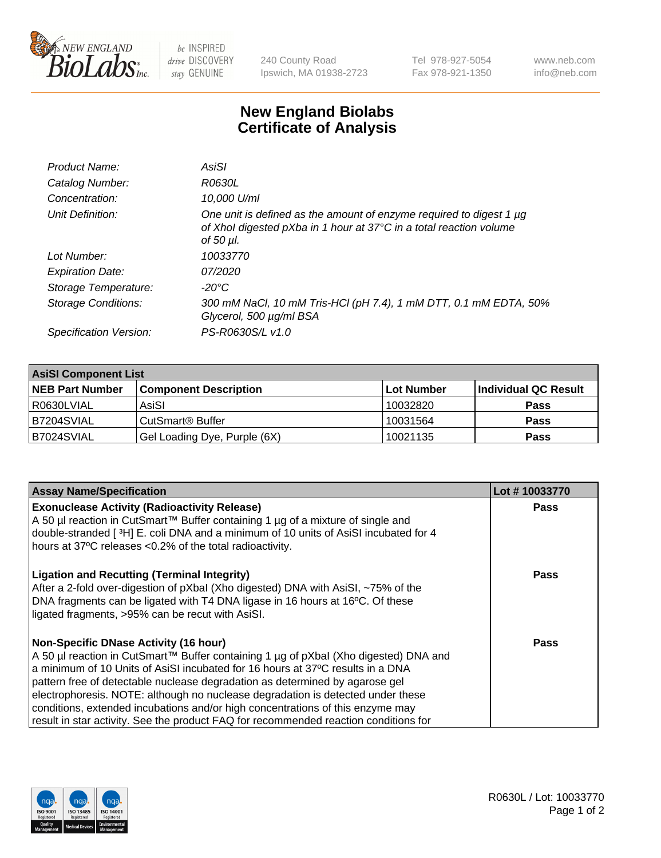

 $be$  INSPIRED drive DISCOVERY stay GENUINE

240 County Road Ipswich, MA 01938-2723 Tel 978-927-5054 Fax 978-921-1350 www.neb.com info@neb.com

## **New England Biolabs Certificate of Analysis**

| Product Name:              | AsiSI                                                                                                                                                  |
|----------------------------|--------------------------------------------------------------------------------------------------------------------------------------------------------|
| Catalog Number:            | R0630L                                                                                                                                                 |
| Concentration:             | 10,000 U/ml                                                                                                                                            |
| Unit Definition:           | One unit is defined as the amount of enzyme required to digest 1 µg<br>of Xhol digested pXba in 1 hour at 37°C in a total reaction volume<br>of 50 µl. |
| Lot Number:                | 10033770                                                                                                                                               |
| <b>Expiration Date:</b>    | 07/2020                                                                                                                                                |
| Storage Temperature:       | $-20^{\circ}$ C                                                                                                                                        |
| <b>Storage Conditions:</b> | 300 mM NaCl, 10 mM Tris-HCl (pH 7.4), 1 mM DTT, 0.1 mM EDTA, 50%<br>Glycerol, 500 µg/ml BSA                                                            |
| Specification Version:     | PS-R0630S/L v1.0                                                                                                                                       |

| <b>AsiSI Component List</b> |                              |            |                      |  |  |
|-----------------------------|------------------------------|------------|----------------------|--|--|
| <b>NEB Part Number</b>      | <b>Component Description</b> | Lot Number | Individual QC Result |  |  |
| R0630LVIAL                  | AsiSI                        | 10032820   | <b>Pass</b>          |  |  |
| B7204SVIAL                  | CutSmart <sup>®</sup> Buffer | 10031564   | <b>Pass</b>          |  |  |
| B7024SVIAL                  | Gel Loading Dye, Purple (6X) | 10021135   | <b>Pass</b>          |  |  |

| <b>Assay Name/Specification</b>                                                                                                        | Lot #10033770 |
|----------------------------------------------------------------------------------------------------------------------------------------|---------------|
| <b>Exonuclease Activity (Radioactivity Release)</b><br>A 50 µl reaction in CutSmart™ Buffer containing 1 µg of a mixture of single and | Pass          |
| double-stranded [3H] E. coli DNA and a minimum of 10 units of AsiSI incubated for 4                                                    |               |
| hours at 37°C releases <0.2% of the total radioactivity.                                                                               |               |
| <b>Ligation and Recutting (Terminal Integrity)</b>                                                                                     | Pass          |
| After a 2-fold over-digestion of pXbal (Xho digested) DNA with AsiSI, ~75% of the                                                      |               |
| DNA fragments can be ligated with T4 DNA ligase in 16 hours at 16°C. Of these<br>ligated fragments, >95% can be recut with AsiSI.      |               |
|                                                                                                                                        |               |
| <b>Non-Specific DNase Activity (16 hour)</b>                                                                                           | Pass          |
| A 50 µl reaction in CutSmart™ Buffer containing 1 µg of pXbal (Xho digested) DNA and                                                   |               |
| a minimum of 10 Units of AsiSI incubated for 16 hours at 37°C results in a DNA                                                         |               |
| pattern free of detectable nuclease degradation as determined by agarose gel                                                           |               |
| electrophoresis. NOTE: although no nuclease degradation is detected under these                                                        |               |
| conditions, extended incubations and/or high concentrations of this enzyme may                                                         |               |
| result in star activity. See the product FAQ for recommended reaction conditions for                                                   |               |